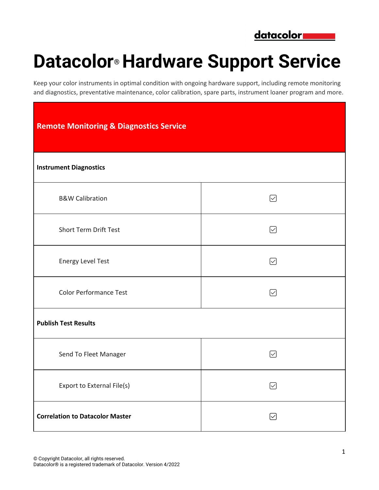

## **Datacolor® Hardware Support Service**

Keep your color instruments in optimal condition with ongoing hardware support, including remote monitoring and diagnostics, preventative maintenance, color calibration, spare parts, instrument loaner program and more.

| <b>Remote Monitoring &amp; Diagnostics Service</b> |              |  |  |  |
|----------------------------------------------------|--------------|--|--|--|
| <b>Instrument Diagnostics</b>                      |              |  |  |  |
| <b>B&amp;W Calibration</b>                         | ☑            |  |  |  |
| Short Term Drift Test                              | ☑            |  |  |  |
| <b>Energy Level Test</b>                           | ☑            |  |  |  |
| <b>Color Performance Test</b>                      | ☑            |  |  |  |
| <b>Publish Test Results</b>                        |              |  |  |  |
| Send To Fleet Manager                              | $\sim$       |  |  |  |
| Export to External File(s)                         | ☑            |  |  |  |
| <b>Correlation to Datacolor Master</b>             | $\checkmark$ |  |  |  |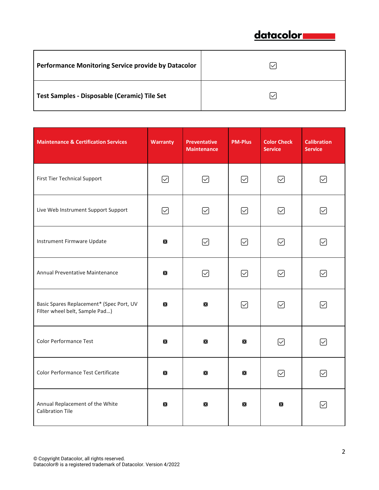

| Performance Monitoring Service provide by Datacolor |  |
|-----------------------------------------------------|--|
| Test Samples - Disposable (Ceramic) Tile Set        |  |

| <b>Maintenance &amp; Certification Services</b>                            | <b>Warranty</b> | Preventative<br><b>Maintenance</b> | <b>PM-Plus</b>    | <b>Color Check</b><br><b>Service</b> | <b>Calibration</b><br><b>Service</b> |
|----------------------------------------------------------------------------|-----------------|------------------------------------|-------------------|--------------------------------------|--------------------------------------|
| First Tier Technical Support                                               | ☑               | ☑                                  | ☑                 | ∽                                    | ☑                                    |
| Live Web Instrument Support Support                                        | ☑               | ☑                                  | ☑                 | ☑                                    | ☑                                    |
| Instrument Firmware Update                                                 | $\mathsf{X}$    | ☑                                  | ☑                 | ☑                                    | $\checkmark$                         |
| Annual Preventative Maintenance                                            | $\mathsf{X}$    | ☑                                  | ☑                 | ☑                                    | ☑                                    |
| Basic Spares Replacement* (Spec Port, UV<br>Filter wheel belt, Sample Pad) | $\mathsf{X}$    | $\mathsf{X}$                       | ☑                 | ☑                                    | ☑                                    |
| <b>Color Performance Test</b>                                              | $\mathsf{X}$    | $\mathsf{X}$                       | $\mathsf{X}$      | ☑                                    | ☑                                    |
| Color Performance Test Certificate                                         | $\mathsf{X}$    | $\mathsf{X}$                       | $\bm{\mathsf{X}}$ | ☑                                    | ☑                                    |
| Annual Replacement of the White<br><b>Calibration Tile</b>                 | $\mathsf{X}$    | $\mathsf{X}$                       | $\mathsf{X}$      | $\mathsf{X}$                         | $\left \smile\right $                |